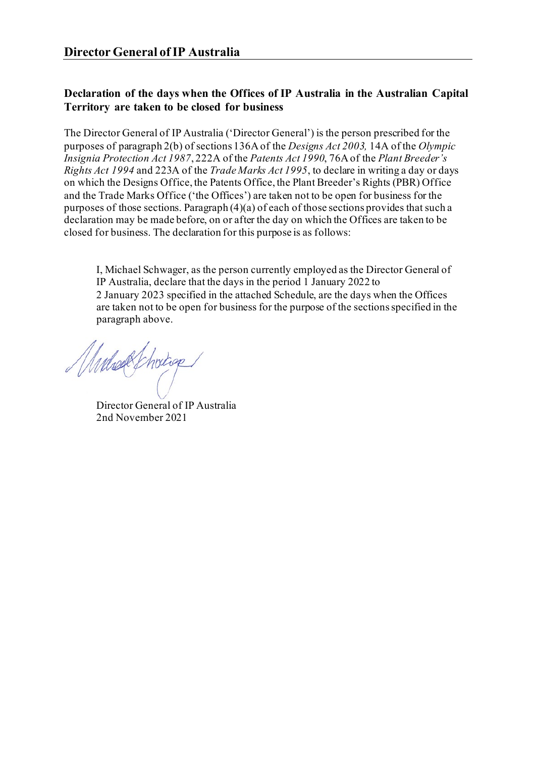## **Declaration of the days when the Offices of IP Australia in the Australian Capital Territory are taken to be closed for business**

The Director General of IP Australia ('Director General') is the person prescribed for the purposes of paragraph 2(b) of sections 136A of the *Designs Act 2003,* 14A of the *Olympic Insignia Protection Act 1987*, 222A of the *Patents Act 1990*, 76A of the *Plant Breeder's Rights Act 1994* and 223A of the *Trade Marks Act 1995*, to declare in writing a day or days on which the Designs Office, the Patents Office, the Plant Breeder's Rights (PBR) Office and the Trade Marks Office ('the Offices') are taken not to be open for business for the purposes of those sections. Paragraph (4)(a) of each of those sections provides that such a declaration may be made before, on or after the day on which the Offices are taken to be closed for business. The declaration for this purpose is as follows:

I, Michael Schwager, as the person currently employed as the Director General of IP Australia, declare that the days in the period 1 January 2022 to 2 January 2023 specified in the attached Schedule, are the days when the Offices are taken not to be open for business for the purpose of the sections specified in the paragraph above.

Muhak Choicap.

Director General of IP Australia 2nd November 2021